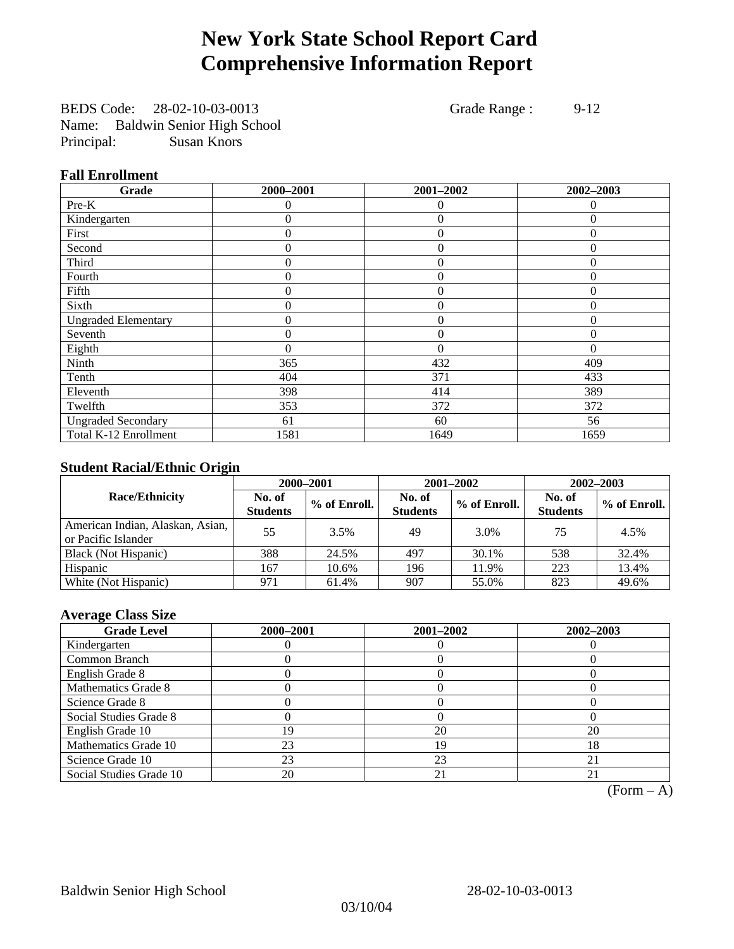## **New York State School Report Card Comprehensive Information Report**

BEDS Code: 28-02-10-03-0013 Grade Range : 9-12 Name: Baldwin Senior High School Principal: Susan Knors

### **Fall Enrollment**

| Grade                      | 2000-2001 | 2001-2002      | 2002-2003    |
|----------------------------|-----------|----------------|--------------|
| Pre-K                      | $\Omega$  | $\theta$       | $\Omega$     |
| Kindergarten               | 0         | $\overline{0}$ | $\Omega$     |
| First                      | $\theta$  | $\theta$       | $\Omega$     |
| Second                     | 0         | $\theta$       | $\Omega$     |
| Third                      | 0         | $\theta$       | $\Omega$     |
| Fourth                     | 0         | $\overline{0}$ | $\theta$     |
| Fifth                      | $\theta$  | $\overline{0}$ | $\mathbf{0}$ |
| Sixth                      | 0         | $\Omega$       | $\Omega$     |
| <b>Ungraded Elementary</b> | 0         | $\theta$       | $\Omega$     |
| Seventh                    | 0         | $\overline{0}$ | $\theta$     |
| Eighth                     | $\theta$  | $\theta$       | $\Omega$     |
| Ninth                      | 365       | 432            | 409          |
| Tenth                      | 404       | 371            | 433          |
| Eleventh                   | 398       | 414            | 389          |
| Twelfth                    | 353       | 372            | 372          |
| <b>Ungraded Secondary</b>  | 61        | 60             | 56           |
| Total K-12 Enrollment      | 1581      | 1649           | 1659         |

### **Student Racial/Ethnic Origin**

|                                                         |                           | 2000-2001    |                           | 2001-2002    | $2002 - 2003$             |                |
|---------------------------------------------------------|---------------------------|--------------|---------------------------|--------------|---------------------------|----------------|
| <b>Race/Ethnicity</b>                                   | No. of<br><b>Students</b> | % of Enroll. | No. of<br><b>Students</b> | % of Enroll. | No. of<br><b>Students</b> | $%$ of Enroll. |
| American Indian, Alaskan, Asian,<br>or Pacific Islander | 55                        | 3.5%         | 49                        | 3.0%         | 75                        | 4.5%           |
| Black (Not Hispanic)                                    | 388                       | 24.5%        | 497                       | 30.1%        | 538                       | 32.4%          |
| Hispanic                                                | 167                       | 10.6%        | 196                       | 11.9%        | 223                       | 13.4%          |
| White (Not Hispanic)                                    | 971                       | 61.4%        | 907                       | 55.0%        | 823                       | 49.6%          |

### **Average Class Size**

| <b>Grade Level</b>      | 2000-2001 | 2001-2002 | 2002-2003 |
|-------------------------|-----------|-----------|-----------|
| Kindergarten            |           |           |           |
| Common Branch           |           |           |           |
| English Grade 8         |           |           |           |
| Mathematics Grade 8     |           |           |           |
| Science Grade 8         |           |           |           |
| Social Studies Grade 8  |           |           |           |
| English Grade 10        | 19        | 20        | 20        |
| Mathematics Grade 10    | 23        | 19        | 18        |
| Science Grade 10        | 23        | 23        | 21        |
| Social Studies Grade 10 | 20        | 21        | 21        |

 $(Form - A)$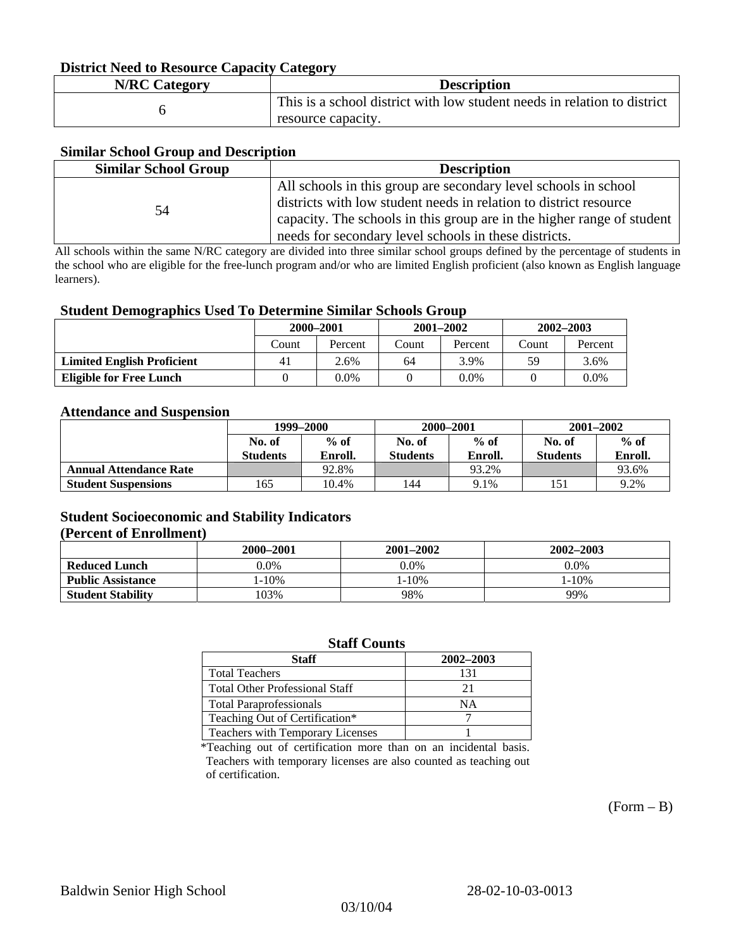#### **District Need to Resource Capacity Category**

| <b>N/RC Category</b> | <b>Description</b>                                                                             |
|----------------------|------------------------------------------------------------------------------------------------|
|                      | This is a school district with low student needs in relation to district<br>resource capacity. |

#### **Similar School Group and Description**

| <b>Similar School Group</b> | <b>Description</b>                                                     |
|-----------------------------|------------------------------------------------------------------------|
|                             | All schools in this group are secondary level schools in school        |
| 54                          | districts with low student needs in relation to district resource      |
|                             | capacity. The schools in this group are in the higher range of student |
|                             | needs for secondary level schools in these districts.                  |

All schools within the same N/RC category are divided into three similar school groups defined by the percentage of students in the school who are eligible for the free-lunch program and/or who are limited English proficient (also known as English language learners).

#### **Student Demographics Used To Determine Similar Schools Group**

|                                   | 2000-2001 |         | $2001 - 2002$ |         | $2002 - 2003$ |         |
|-----------------------------------|-----------|---------|---------------|---------|---------------|---------|
|                                   | Count     | Percent | Count         | Percent | Count         | Percent |
| <b>Limited English Proficient</b> | 41        | 2.6%    | 64            | 3.9%    | 59            | 3.6%    |
| Eligible for Free Lunch           |           | 0.0%    |               | $0.0\%$ |               | $0.0\%$ |

#### **Attendance and Suspension**

|                               | 1999–2000       |         | 2000-2001       |         | $2001 - 2002$   |         |
|-------------------------------|-----------------|---------|-----------------|---------|-----------------|---------|
|                               | No. of          | $%$ of  | No. of          | $%$ of  | No. of          | $%$ of  |
|                               | <b>Students</b> | Enroll. | <b>Students</b> | Enroll. | <b>Students</b> | Enroll. |
| <b>Annual Attendance Rate</b> |                 | 92.8%   |                 | 93.2%   |                 | 93.6%   |
| <b>Student Suspensions</b>    | 165             | 10.4%   | 144             | 9.1%    |                 | 9.2%    |

### **Student Socioeconomic and Stability Indicators (Percent of Enrollment)**

|                          | 2000-2001 | 2001–2002 | 2002-2003 |
|--------------------------|-----------|-----------|-----------|
| <b>Reduced Lunch</b>     | $0.0\%$   | $0.0\%$   | $0.0\%$   |
| <b>Public Assistance</b> | $-10%$    | . - 10%   | $-10%$    |
| <b>Student Stability</b> | 103%      | 98%       | 99%       |

#### **Staff Counts**

| Staff                                 | 2002-2003 |
|---------------------------------------|-----------|
| <b>Total Teachers</b>                 | 131       |
| <b>Total Other Professional Staff</b> | 21        |
| <b>Total Paraprofessionals</b>        | NΑ        |
| Teaching Out of Certification*        |           |
| Teachers with Temporary Licenses      |           |

\*Teaching out of certification more than on an incidental basis. Teachers with temporary licenses are also counted as teaching out of certification.

 $(Form - B)$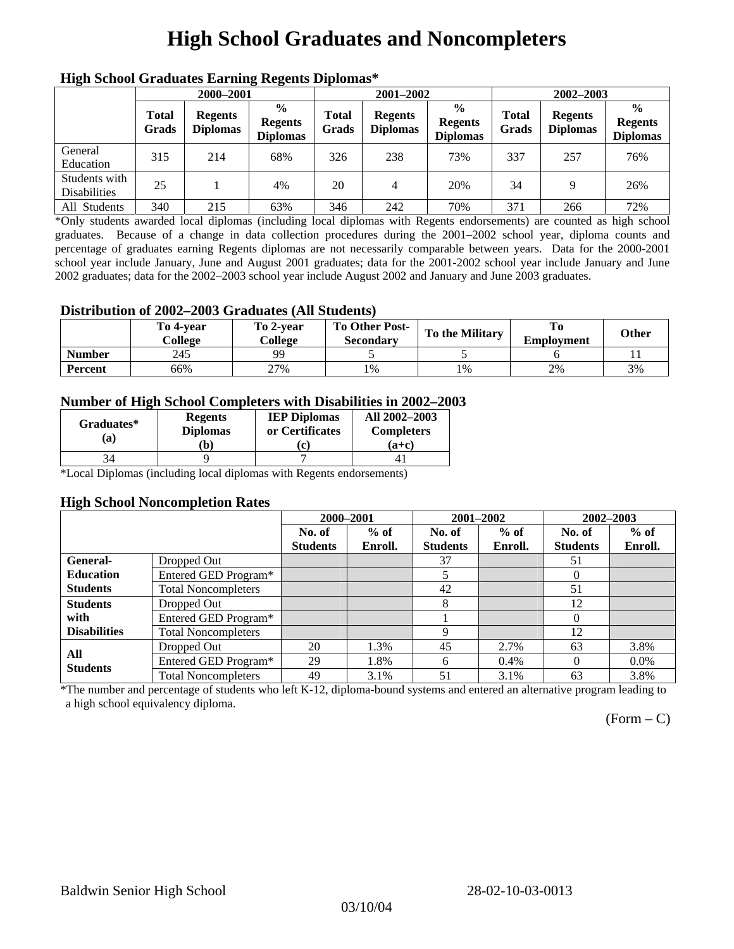# **High School Graduates and Noncompleters**

| ніді эспол этайнакі патінід кеденія вірюшая |                       |                                   |                                                    |                       |                                   |                                                    |                       |                                   |                                                    |
|---------------------------------------------|-----------------------|-----------------------------------|----------------------------------------------------|-----------------------|-----------------------------------|----------------------------------------------------|-----------------------|-----------------------------------|----------------------------------------------------|
|                                             | 2000-2001             |                                   |                                                    |                       | 2001-2002                         |                                                    | 2002-2003             |                                   |                                                    |
|                                             | <b>Total</b><br>Grads | <b>Regents</b><br><b>Diplomas</b> | $\frac{0}{0}$<br><b>Regents</b><br><b>Diplomas</b> | <b>Total</b><br>Grads | <b>Regents</b><br><b>Diplomas</b> | $\frac{6}{6}$<br><b>Regents</b><br><b>Diplomas</b> | <b>Total</b><br>Grads | <b>Regents</b><br><b>Diplomas</b> | $\frac{0}{0}$<br><b>Regents</b><br><b>Diplomas</b> |
| General<br>Education                        | 315                   | 214                               | 68%                                                | 326                   | 238                               | 73%                                                | 337                   | 257                               | 76%                                                |
| Students with<br><b>Disabilities</b>        | 25                    |                                   | 4%                                                 | 20                    | 4                                 | 20%                                                | 34                    | Q                                 | 26%                                                |
| All Students                                | 340                   | 215                               | 63%                                                | 346                   | 242                               | 70%                                                | 371                   | 266                               | 72%                                                |

### **High School Graduates Earning Regents Diplomas\***

\*Only students awarded local diplomas (including local diplomas with Regents endorsements) are counted as high school graduates. Because of a change in data collection procedures during the 2001–2002 school year, diploma counts and percentage of graduates earning Regents diplomas are not necessarily comparable between years. Data for the 2000-2001 school year include January, June and August 2001 graduates; data for the 2001-2002 school year include January and June 2002 graduates; data for the 2002–2003 school year include August 2002 and January and June 2003 graduates.

### **Distribution of 2002–2003 Graduates (All Students)**

|               | To 4-vear<br>College | To 2-vear<br>College | <b>To Other Post-</b><br>Secondary | <b>To the Military</b> | <b>Employment</b> | Other |
|---------------|----------------------|----------------------|------------------------------------|------------------------|-------------------|-------|
| <b>Number</b> | 245                  | <b>QQ</b>            |                                    |                        |                   |       |
| Percent       | 66%                  | 27%                  | 1%                                 | 1%                     | 2%                | 3%    |

### **Number of High School Completers with Disabilities in 2002–2003**

| Graduates*<br>(a) | <b>Regents</b><br><b>Diplomas</b><br>b) | <b>IEP Diplomas</b><br>or Certificates<br>'c) | All 2002-2003<br><b>Completers</b><br>(a+c) |
|-------------------|-----------------------------------------|-----------------------------------------------|---------------------------------------------|
|                   |                                         |                                               |                                             |

\*Local Diplomas (including local diplomas with Regents endorsements)

#### **High School Noncompletion Rates**

| . .                 |                            | 2000-2001       |         | 2001-2002       |         | 2002-2003       |         |
|---------------------|----------------------------|-----------------|---------|-----------------|---------|-----------------|---------|
|                     |                            | No. of          | $%$ of  | No. of          | $%$ of  | No. of          | $%$ of  |
|                     |                            | <b>Students</b> | Enroll. | <b>Students</b> | Enroll. | <b>Students</b> | Enroll. |
| <b>General-</b>     | Dropped Out                |                 |         | 37              |         | 51              |         |
| <b>Education</b>    | Entered GED Program*       |                 |         |                 |         | $\theta$        |         |
| <b>Students</b>     | <b>Total Noncompleters</b> |                 |         | 42              |         | 51              |         |
| <b>Students</b>     | Dropped Out                |                 |         | 8               |         | 12              |         |
| with                | Entered GED Program*       |                 |         |                 |         | $\Omega$        |         |
| <b>Disabilities</b> | <b>Total Noncompleters</b> |                 |         | 9               |         | 12              |         |
| All                 | Dropped Out                | 20              | 1.3%    | 45              | 2.7%    | 63              | 3.8%    |
| <b>Students</b>     | Entered GED Program*       | 29              | 1.8%    | 6               | $0.4\%$ | $\Omega$        | $0.0\%$ |
|                     | <b>Total Noncompleters</b> | 49              | 3.1%    | 51              | 3.1%    | 63              | 3.8%    |

\*The number and percentage of students who left K-12, diploma-bound systems and entered an alternative program leading to a high school equivalency diploma.

 $(Form - C)$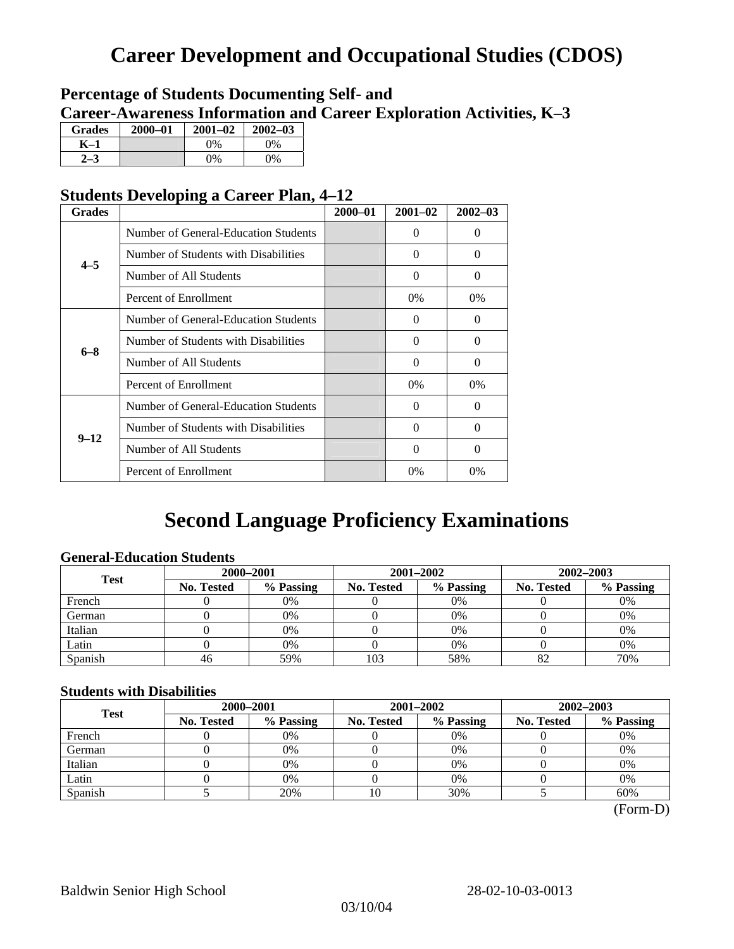## **Career Development and Occupational Studies (CDOS)**

### **Percentage of Students Documenting Self- and Career-Awareness Information and Career Exploration Activities, K–3**

| <b>Grades</b> | 2000-01 | $2001 - 02$ | $2002 - 03$ |
|---------------|---------|-------------|-------------|
| K–1           |         | $0\%$       | $0\%$       |
|               |         | $0\%$       | $0\%$       |

### **Students Developing a Career Plan, 4–12**

| <b>Grades</b> |                                      | $2000 - 01$ | $2001 - 02$ | $2002 - 03$ |
|---------------|--------------------------------------|-------------|-------------|-------------|
|               | Number of General-Education Students |             | $\Omega$    | $\theta$    |
| $4 - 5$       | Number of Students with Disabilities |             | 0           | $\Omega$    |
|               | Number of All Students               |             | $\Omega$    | $\Omega$    |
|               | Percent of Enrollment                |             | $0\%$       | $0\%$       |
|               | Number of General-Education Students |             | 0           | 0           |
| $6 - 8$       | Number of Students with Disabilities |             | $\theta$    | $\Omega$    |
|               | Number of All Students               |             | $\theta$    | $\Omega$    |
|               | Percent of Enrollment                |             | $0\%$       | $0\%$       |
|               | Number of General-Education Students |             | 0           | $\Omega$    |
| $9 - 12$      | Number of Students with Disabilities |             | 0           | $\Omega$    |
|               | Number of All Students               |             | 0           | $\Omega$    |
|               | Percent of Enrollment                |             | $0\%$       | $0\%$       |

## **Second Language Proficiency Examinations**

### **General-Education Students**

| <b>Test</b> | 2000-2001                                                 |     |                   | 2001-2002 | 2002-2003 |     |  |
|-------------|-----------------------------------------------------------|-----|-------------------|-----------|-----------|-----|--|
|             | % Passing<br>% Passing<br><b>No. Tested</b><br>No. Tested |     | <b>No. Tested</b> | % Passing |           |     |  |
| French      |                                                           | 0%  |                   | $0\%$     |           | 0%  |  |
| German      |                                                           | 0%  |                   | 0%        |           | 0%  |  |
| Italian     |                                                           | 0%  |                   | 0%        |           | 0%  |  |
| Latin       |                                                           | 0%  |                   | 0%        |           | 0%  |  |
| Spanish     | 46                                                        | 59% | 103               | 58%       | δŹ        | 70% |  |

### **Students with Disabilities**

| <b>Test</b>                    | 2000-2001 |                         |  | 2001-2002         | 2002-2003 |     |  |
|--------------------------------|-----------|-------------------------|--|-------------------|-----------|-----|--|
| % Passing<br><b>No. Tested</b> |           | % Passing<br>No. Tested |  | <b>No. Tested</b> | % Passing |     |  |
| French                         |           | 0%                      |  | 0%                |           | 0%  |  |
| German                         |           | 0%                      |  | 0%                |           | 0%  |  |
| Italian                        |           | 0%                      |  | 0%                |           | 0%  |  |
| Latin                          |           | 0%                      |  | $0\%$             |           | 0%  |  |
| Spanish                        |           | 20%                     |  | 30%               |           | 60% |  |

 <sup>(</sup>Form-D)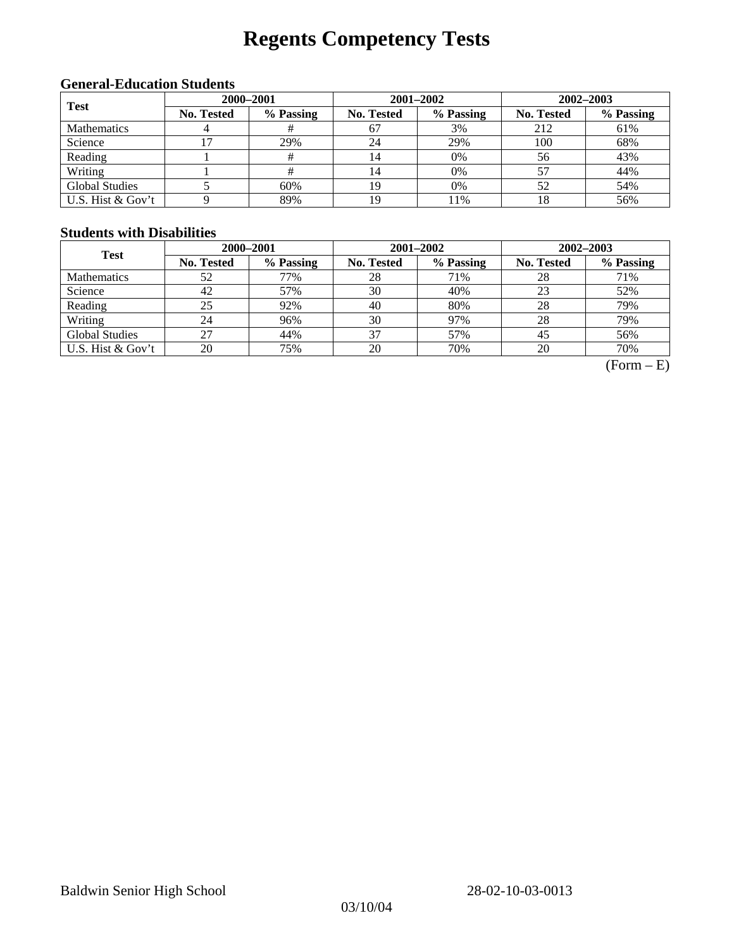# **Regents Competency Tests**

### **General-Education Students**

| <b>Test</b>        |                   | 2000-2001 |            | $2001 - 2002$ | $2002 - 2003$ |           |  |
|--------------------|-------------------|-----------|------------|---------------|---------------|-----------|--|
|                    | <b>No. Tested</b> | % Passing | No. Tested | % Passing     | No. Tested    | % Passing |  |
| <b>Mathematics</b> |                   |           | 67         | 3%            | 212           | 61%       |  |
| Science            |                   | 29%       | 24         | 29%           | 100           | 68%       |  |
| Reading            |                   |           | 14         | $0\%$         | 56            | 43%       |  |
| Writing            |                   | #         | 14         | 0%            |               | 44%       |  |
| Global Studies     |                   | 60%       | 19         | 0%            | 52            | 54%       |  |
| U.S. Hist & Gov't  |                   | 89%       | 19         | 11%           |               | 56%       |  |

#### **Students with Disabilities**

| <b>Test</b>           | 2000-2001         |           |                   | 2001-2002 | 2002-2003         |           |  |
|-----------------------|-------------------|-----------|-------------------|-----------|-------------------|-----------|--|
|                       | <b>No. Tested</b> | % Passing | <b>No. Tested</b> | % Passing | <b>No. Tested</b> | % Passing |  |
| <b>Mathematics</b>    | 52                | 77%       | 28                | 71%       | 28                | 71%       |  |
| Science               | 42                | 57%       | 30                | 40%       | 23                | 52%       |  |
| Reading               | 25                | 92%       | 40                | 80%       | 28                | 79%       |  |
| Writing               | 24                | 96%       | 30                | 97%       | 28                | 79%       |  |
| <b>Global Studies</b> | 27                | 44%       | 37                | 57%       | 45                | 56%       |  |
| U.S. Hist & Gov't     | 20                | 75%       | 20                | 70%       | 20                | 70%       |  |

 $(Form - E)$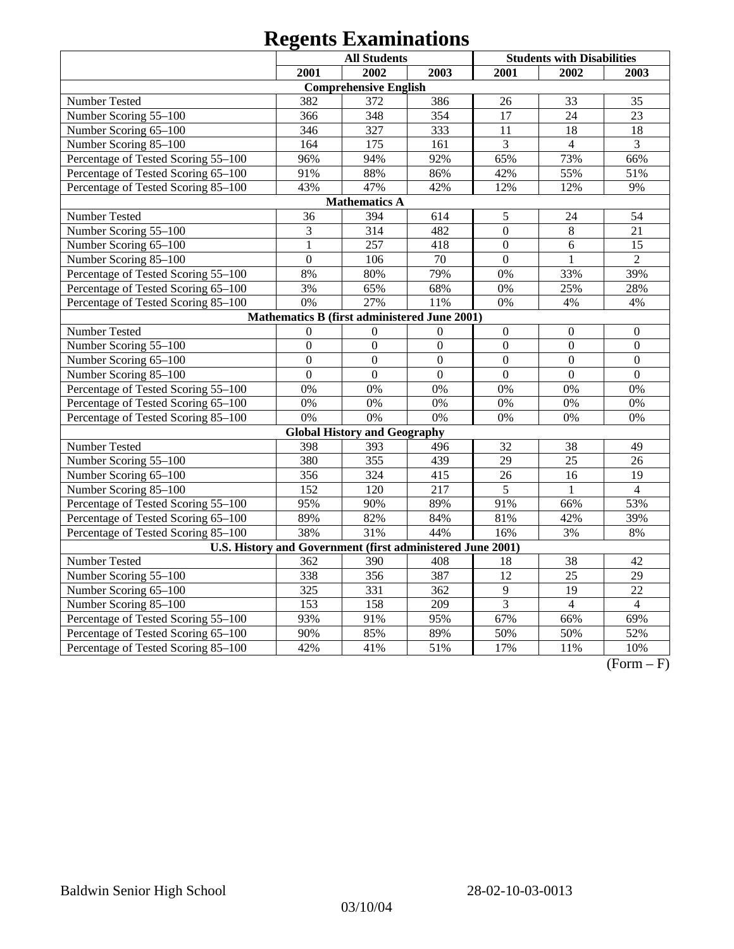|                                                            |                | <b>All Students</b>                          |                  | <b>Students with Disabilities</b> |                  |                  |
|------------------------------------------------------------|----------------|----------------------------------------------|------------------|-----------------------------------|------------------|------------------|
|                                                            | 2001           | 2002                                         | 2003             | 2001                              | 2002             | 2003             |
|                                                            |                | <b>Comprehensive English</b>                 |                  |                                   |                  |                  |
| Number Tested                                              | 382            | 372                                          | 386              | 26                                | 33               | 35               |
| Number Scoring 55-100                                      | 366            | 348                                          | 354              | 17                                | 24               | 23               |
| Number Scoring 65-100                                      | 346            | 327                                          | 333              | 11                                | 18               | 18               |
| Number Scoring 85-100                                      | 164            | 175                                          | 161              | 3                                 | $\overline{4}$   | 3                |
| Percentage of Tested Scoring 55-100                        | 96%            | 94%                                          | 92%              | 65%                               | 73%              | 66%              |
| Percentage of Tested Scoring 65-100                        | 91%            | 88%                                          | 86%              | 42%                               | 55%              | 51%              |
| Percentage of Tested Scoring 85-100                        | 43%            | 47%                                          | 42%              | 12%                               | 12%              | 9%               |
|                                                            |                | <b>Mathematics A</b>                         |                  |                                   |                  |                  |
| Number Tested                                              | 36             | 394                                          | 614              | $\mathfrak s$                     | 24               | 54               |
| Number Scoring 55-100                                      | 3              | 314                                          | 482              | $\overline{0}$                    | 8                | 21               |
| Number Scoring 65-100                                      | 1              | 257                                          | 418              | $\boldsymbol{0}$                  | 6                | 15               |
| Number Scoring 85-100                                      | $\overline{0}$ | 106                                          | 70               | $\mathbf{0}$                      | $\mathbf{1}$     | $\overline{2}$   |
| Percentage of Tested Scoring 55-100                        | 8%             | 80%                                          | 79%              | 0%                                | 33%              | 39%              |
| Percentage of Tested Scoring 65-100                        | 3%             | 65%                                          | 68%              | 0%                                | 25%              | 28%              |
| Percentage of Tested Scoring 85-100                        | 0%             | 27%                                          | 11%              | 0%                                | 4%               | 4%               |
|                                                            |                | Mathematics B (first administered June 2001) |                  |                                   |                  |                  |
| Number Tested                                              | $\theta$       | $\Omega$                                     | $\Omega$         | $\boldsymbol{0}$                  | $\boldsymbol{0}$ | $\boldsymbol{0}$ |
| Number Scoring 55-100                                      | $\overline{0}$ | $\overline{0}$                               | $\overline{0}$   | $\overline{0}$                    | $\overline{0}$   | $\mathbf{0}$     |
| Number Scoring 65-100                                      | $\overline{0}$ | $\mathbf{0}$                                 | $\overline{0}$   | $\mathbf{0}$                      | $\overline{0}$   | $\mathbf{0}$     |
| Number Scoring 85-100                                      | $\overline{0}$ | $\mathbf{0}$                                 | $\overline{0}$   | $\overline{0}$                    | $\overline{0}$   | $\mathbf{0}$     |
| Percentage of Tested Scoring 55-100                        | 0%             | 0%                                           | 0%               | 0%                                | 0%               | 0%               |
| Percentage of Tested Scoring 65-100                        | 0%             | 0%                                           | 0%               | 0%                                | 0%               | 0%               |
| Percentage of Tested Scoring 85-100                        | 0%             | 0%                                           | 0%               | 0%                                | 0%               | 0%               |
|                                                            |                | <b>Global History and Geography</b>          |                  |                                   |                  |                  |
| Number Tested                                              | 398            | 393                                          | 496              | 32                                | 38               | 49               |
| Number Scoring 55-100                                      | 380            | 355                                          | 439              | 29                                | 25               | 26               |
| Number Scoring 65-100                                      | 356            | 324                                          | 415              | 26                                | 16               | 19               |
| Number Scoring 85-100                                      | 152            | 120                                          | 217              | 5                                 | 1                | $\overline{4}$   |
| Percentage of Tested Scoring 55-100                        | 95%            | 90%                                          | 89%              | 91%                               | 66%              | 53%              |
| Percentage of Tested Scoring 65-100                        | 89%            | 82%                                          | 84%              | 81%                               | 42%              | 39%              |
| Percentage of Tested Scoring 85-100                        | 38%            | 31%                                          | 44%              | 16%                               | 3%               | 8%               |
| U.S. History and Government (first administered June 2001) |                |                                              |                  |                                   |                  |                  |
| Number Tested                                              | 362            | 390                                          | 408              | 18                                | 38               | 42               |
| Number Scoring 55-100                                      | 338            | 356                                          | 387              | $\overline{12}$                   | $\overline{25}$  | $\overline{29}$  |
| Number Scoring 65-100                                      | 325            | 331                                          | 362              | $\overline{9}$                    | $\overline{19}$  | $\overline{22}$  |
| Number Scoring 85-100                                      | 153            | 158                                          | $\overline{209}$ | $\overline{3}$                    | $\overline{4}$   | $\overline{4}$   |
| Percentage of Tested Scoring 55-100                        | 93%            | 91%                                          | 95%              | 67%                               | 66%              | 69%              |
| Percentage of Tested Scoring 65-100                        | 90%            | 85%                                          | 89%              | 50%                               | 50%              | 52%              |
| Percentage of Tested Scoring 85-100                        | 42%            | 41%                                          | 51%              | 17%                               | 11%              | 10%              |

 $(Form - F)$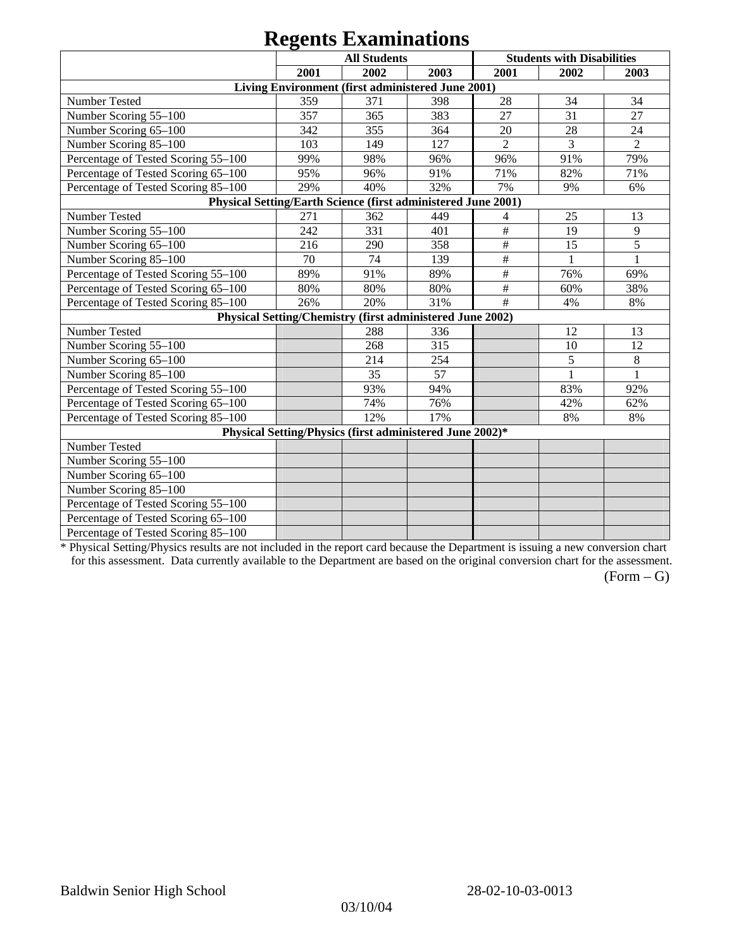|                                                               |      | $\sim$                                                    |      |                |                                   |                |
|---------------------------------------------------------------|------|-----------------------------------------------------------|------|----------------|-----------------------------------|----------------|
|                                                               |      | <b>All Students</b>                                       |      |                | <b>Students with Disabilities</b> |                |
|                                                               | 2001 | 2002                                                      | 2003 | 2001           | 2002                              | 2003           |
|                                                               |      | Living Environment (first administered June 2001)         |      |                |                                   |                |
| Number Tested                                                 | 359  | 371                                                       | 398  | 28             | 34                                | 34             |
| Number Scoring 55-100                                         | 357  | 365                                                       | 383  | 27             | 31                                | 27             |
| Number Scoring 65-100                                         | 342  | 355                                                       | 364  | 20             | 28                                | 24             |
| Number Scoring 85-100                                         | 103  | 149                                                       | 127  | $\overline{2}$ | 3                                 | $\overline{2}$ |
| Percentage of Tested Scoring 55-100                           | 99%  | 98%                                                       | 96%  | 96%            | 91%                               | 79%            |
| Percentage of Tested Scoring 65-100                           | 95%  | 96%                                                       | 91%  | 71%            | 82%                               | 71%            |
| Percentage of Tested Scoring 85-100                           | 29%  | 40%                                                       | 32%  | 7%             | 9%                                | 6%             |
| Physical Setting/Earth Science (first administered June 2001) |      |                                                           |      |                |                                   |                |
| Number Tested                                                 | 271  | 362                                                       | 449  | 4              | 25                                | 13             |
| Number Scoring 55-100                                         | 242  | 331                                                       | 401  | $\#$           | 19                                | $\overline{9}$ |
| Number Scoring 65-100                                         | 216  | 290                                                       | 358  | $\#$           | 15                                | 5              |
| Number Scoring 85-100                                         | 70   | 74                                                        | 139  | $\#$           | 1                                 | 1              |
| Percentage of Tested Scoring 55-100                           | 89%  | 91%                                                       | 89%  | $\#$           | 76%                               | 69%            |
| Percentage of Tested Scoring 65-100                           | 80%  | 80%                                                       | 80%  | $\#$           | 60%                               | 38%            |
| Percentage of Tested Scoring 85-100                           | 26%  | 20%                                                       | 31%  | #              | 4%                                | 8%             |
|                                                               |      | Physical Setting/Chemistry (first administered June 2002) |      |                |                                   |                |
| Number Tested                                                 |      | 288                                                       | 336  |                | 12                                | 13             |
| Number Scoring 55-100                                         |      | 268                                                       | 315  |                | 10                                | 12             |
| Number Scoring 65-100                                         |      | 214                                                       | 254  |                | 5                                 | 8              |
| Number Scoring 85-100                                         |      | 35                                                        | 57   |                | $\mathbf{1}$                      | $\mathbf{1}$   |
| Percentage of Tested Scoring 55-100                           |      | 93%                                                       | 94%  |                | 83%                               | 92%            |
| Percentage of Tested Scoring 65-100                           |      | 74%                                                       | 76%  |                | 42%                               | 62%            |
| Percentage of Tested Scoring 85-100                           |      | 12%                                                       | 17%  |                | 8%                                | 8%             |
|                                                               |      | Physical Setting/Physics (first administered June 2002)*  |      |                |                                   |                |
| Number Tested                                                 |      |                                                           |      |                |                                   |                |
| Number Scoring 55-100                                         |      |                                                           |      |                |                                   |                |
| Number Scoring 65-100                                         |      |                                                           |      |                |                                   |                |
| Number Scoring 85-100                                         |      |                                                           |      |                |                                   |                |
| Percentage of Tested Scoring 55-100                           |      |                                                           |      |                |                                   |                |
| Percentage of Tested Scoring 65-100                           |      |                                                           |      |                |                                   |                |
| Percentage of Tested Scoring 85-100                           |      |                                                           |      |                |                                   |                |

\* Physical Setting/Physics results are not included in the report card because the Department is issuing a new conversion chart for this assessment. Data currently available to the Department are based on the original conversion chart for the assessment.

 $(Form - G)$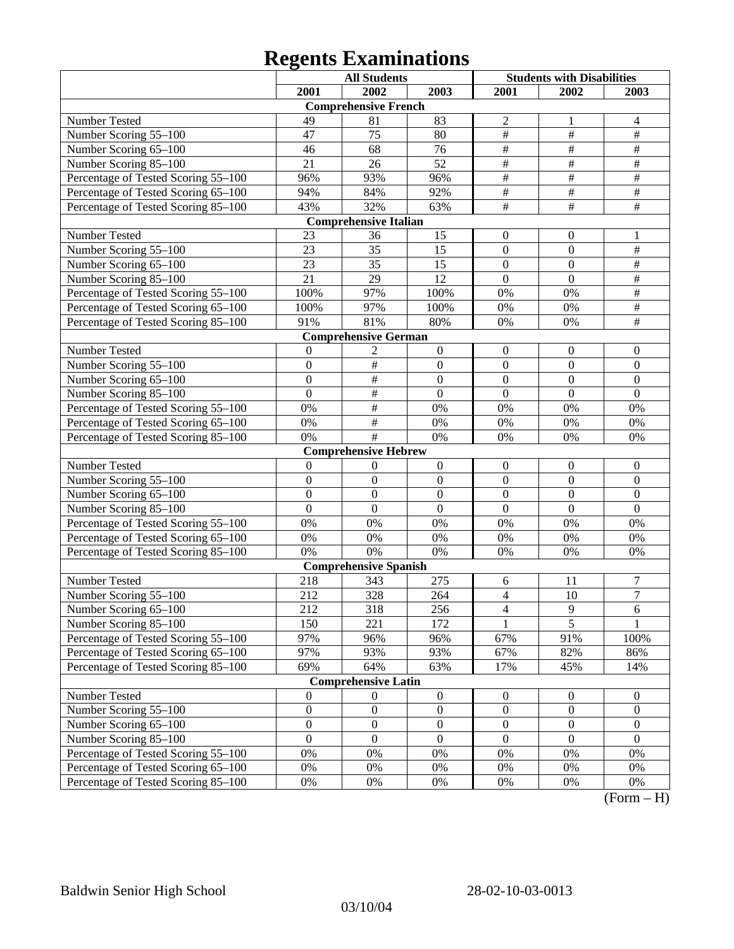|                                     |                  | <b>All Students</b>          |                  | <b>Students with Disabilities</b> |                  |                    |
|-------------------------------------|------------------|------------------------------|------------------|-----------------------------------|------------------|--------------------|
|                                     | 2001             | 2002                         | 2003             | 2001                              | 2002             | 2003               |
|                                     |                  | <b>Comprehensive French</b>  |                  |                                   |                  |                    |
| Number Tested                       | 49               | 81                           | 83               | $\overline{c}$                    | 1                | 4                  |
| Number Scoring 55-100               | 47               | 75                           | 80               | $\overline{\#}$                   | $\#$             | $\#$               |
| Number Scoring 65-100               | 46               | 68                           | 76               | $\overline{\#}$                   | $\overline{\#}$  | $\#$               |
| Number Scoring 85-100               | 21               | 26                           | 52               | $\overline{\#}$                   | $\#$             | $\#$               |
| Percentage of Tested Scoring 55-100 | 96%              | 93%                          | 96%              | $\overline{\overline{H}}$         | $\overline{\#}$  | $\#$               |
| Percentage of Tested Scoring 65-100 | 94%              | 84%                          | 92%              | $\overline{\#}$                   | $\overline{\#}$  | $\#$               |
| Percentage of Tested Scoring 85-100 | 43%              | 32%                          | 63%              | $\overline{\#}$                   | $\overline{\#}$  | $\overline{\#}$    |
|                                     |                  | <b>Comprehensive Italian</b> |                  |                                   |                  |                    |
| Number Tested                       | 23               | 36                           | 15               | $\boldsymbol{0}$                  | $\boldsymbol{0}$ | 1                  |
| Number Scoring 55-100               | 23               | 35                           | 15               | $\mathbf{0}$                      | $\mathbf{0}$     | $\#$               |
| Number Scoring 65-100               | 23               | 35                           | 15               | $\mathbf{0}$                      | $\boldsymbol{0}$ | $\#$               |
| Number Scoring 85-100               | 21               | 29                           | 12               | $\mathbf{0}$                      | $\boldsymbol{0}$ | $\#$               |
| Percentage of Tested Scoring 55-100 | 100%             | 97%                          | 100%             | $0\%$                             | 0%               | $\#$               |
| Percentage of Tested Scoring 65-100 | 100%             | 97%                          | 100%             | $0\%$                             | 0%               | $\#$               |
| Percentage of Tested Scoring 85-100 | 91%              | 81%                          | 80%              | $0\%$                             | 0%               | $\#$               |
|                                     |                  | <b>Comprehensive German</b>  |                  |                                   |                  |                    |
| Number Tested                       | $\theta$         | 2                            | $\boldsymbol{0}$ | $\boldsymbol{0}$                  | $\boldsymbol{0}$ | $\boldsymbol{0}$   |
| Number Scoring 55-100               | $\mathbf{0}$     | $\#$                         | $\boldsymbol{0}$ | $\mathbf{0}$                      | $\mathbf{0}$     | $\mathbf{0}$       |
| Number Scoring 65-100               | $\overline{0}$   | $\overline{\#}$              | $\overline{0}$   | $\mathbf{0}$                      | $\mathbf{0}$     | $\mathbf{0}$       |
| Number Scoring 85-100               | $\boldsymbol{0}$ | $\#$                         | $\mathbf{0}$     | $\mathbf{0}$                      | $\boldsymbol{0}$ | $\boldsymbol{0}$   |
| Percentage of Tested Scoring 55-100 | 0%               | $\#$                         | 0%               | 0%                                | $0\%$            | 0%                 |
| Percentage of Tested Scoring 65-100 | 0%               | $\#$                         | $0\%$            | 0%                                | $0\%$            | 0%                 |
| Percentage of Tested Scoring 85-100 | 0%               | $\#$                         | 0%               | 0%                                | 0%               | 0%                 |
|                                     |                  | <b>Comprehensive Hebrew</b>  |                  |                                   |                  |                    |
| Number Tested                       | $\mathbf{0}$     | $\mathbf{0}$                 | $\boldsymbol{0}$ | $\boldsymbol{0}$                  | $\boldsymbol{0}$ | $\boldsymbol{0}$   |
| Number Scoring 55-100               | $\overline{0}$   | $\boldsymbol{0}$             | $\boldsymbol{0}$ | $\mathbf{0}$                      | $\overline{0}$   | $\mathbf{0}$       |
| Number Scoring 65-100               | $\overline{0}$   | $\overline{0}$               | $\overline{0}$   | $\mathbf{0}$                      | $\mathbf{0}$     | $\mathbf{0}$       |
| Number Scoring 85-100               | $\overline{0}$   | $\mathbf{0}$                 | $\mathbf{0}$     | $\mathbf{0}$                      | $\boldsymbol{0}$ | $\boldsymbol{0}$   |
| Percentage of Tested Scoring 55-100 | $0\%$            | 0%                           | 0%               | 0%                                | 0%               | 0%                 |
| Percentage of Tested Scoring 65-100 | $0\%$            | 0%                           | $0\%$            | 0%                                | $0\%$            | 0%                 |
| Percentage of Tested Scoring 85-100 | 0%               | 0%                           | 0%               | 0%                                | $0\%$            | 0%                 |
|                                     |                  | <b>Comprehensive Spanish</b> |                  |                                   |                  |                    |
| Number Tested                       | 218              | 343                          | 275              | 6                                 | 11               | 7                  |
| Number Scoring 55-100               | 212              | 328                          | 264              | $\overline{4}$                    | 10               | $\overline{7}$     |
| Number Scoring 65-100               | 212              | 318                          | 256              | $\overline{4}$                    | $\overline{9}$   | $\overline{6}$     |
| Number Scoring 85-100               | 150              | 221                          | 172              |                                   | $\overline{5}$   |                    |
| Percentage of Tested Scoring 55-100 | 97%              | 96%                          | 96%              | 67%                               | 91%              | 100%               |
| Percentage of Tested Scoring 65-100 | 97%              | 93%                          | 93%              | 67%                               | 82%              | 86%                |
| Percentage of Tested Scoring 85-100 | 69%              | 64%                          | 63%              | 17%                               | 45%              | 14%                |
|                                     |                  | <b>Comprehensive Latin</b>   |                  |                                   |                  |                    |
| Number Tested                       | $\mathbf{0}$     | $\overline{0}$               | $\boldsymbol{0}$ | $\boldsymbol{0}$                  | $\boldsymbol{0}$ | $\boldsymbol{0}$   |
| Number Scoring 55-100               | $\boldsymbol{0}$ | $\boldsymbol{0}$             | $\boldsymbol{0}$ | $\boldsymbol{0}$                  | $\boldsymbol{0}$ | $\boldsymbol{0}$   |
| Number Scoring 65-100               | $\boldsymbol{0}$ | $\boldsymbol{0}$             | $\boldsymbol{0}$ | $\boldsymbol{0}$                  | $\boldsymbol{0}$ | $\boldsymbol{0}$   |
| Number Scoring 85-100               | $\mathbf{0}$     | $\boldsymbol{0}$             | $\boldsymbol{0}$ | $\boldsymbol{0}$                  | $\boldsymbol{0}$ | $\boldsymbol{0}$   |
| Percentage of Tested Scoring 55-100 | $0\%$            | 0%                           | 0%               | 0%                                | 0%               | 0%                 |
| Percentage of Tested Scoring 65-100 | $0\%$            | 0%                           | 0%               | 0%                                | 0%               | 0%                 |
| Percentage of Tested Scoring 85-100 | $0\%$            | $0\%$                        | $0\%$            | 0%                                | 0%               | 0%<br>$\mathbf{T}$ |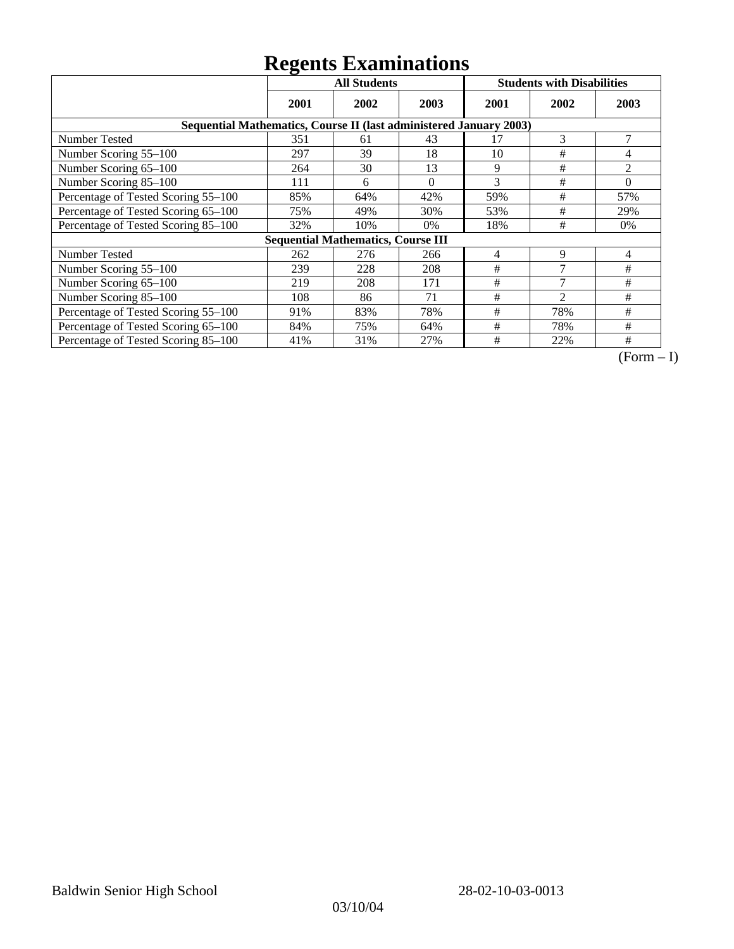|                                                                    | <b>All Students</b> |                                           |          |      | <b>Students with Disabilities</b> |          |
|--------------------------------------------------------------------|---------------------|-------------------------------------------|----------|------|-----------------------------------|----------|
|                                                                    | 2001                | 2002                                      | 2003     | 2001 | 2002                              | 2003     |
| Sequential Mathematics, Course II (last administered January 2003) |                     |                                           |          |      |                                   |          |
| <b>Number Tested</b>                                               | 351                 | 61                                        | 43       | 17   | 3                                 | 7        |
| Number Scoring 55-100                                              | 297                 | 39                                        | 18       | 10   | $\#$                              | 4        |
| Number Scoring 65-100                                              | 264                 | 30                                        | 13       | 9    | #                                 | 2        |
| Number Scoring 85-100                                              | 111                 | 6                                         | $\Omega$ | 3    | #                                 | $\theta$ |
| Percentage of Tested Scoring 55-100                                | 85%                 | 64%                                       | 42%      | 59%  | #                                 | 57%      |
| Percentage of Tested Scoring 65-100                                | 75%                 | 49%                                       | 30%      | 53%  | #                                 | 29%      |
| Percentage of Tested Scoring 85-100                                | 32%                 | 10%                                       | $0\%$    | 18%  | #                                 | $0\%$    |
|                                                                    |                     | <b>Sequential Mathematics, Course III</b> |          |      |                                   |          |
| <b>Number Tested</b>                                               | 262                 | 276                                       | 266      | 4    | 9                                 | 4        |
| Number Scoring 55-100                                              | 239                 | 228                                       | 208      | #    | $\mathcal{I}$                     | #        |
| Number Scoring 65-100                                              | 219                 | 208                                       | 171      | #    | $\mathcal{I}$                     | #        |
| Number Scoring 85-100                                              | 108                 | 86                                        | 71       | #    | $\mathfrak{D}$                    | #        |
| Percentage of Tested Scoring 55-100                                | 91%                 | 83%                                       | 78%      | #    | 78%                               | #        |
| Percentage of Tested Scoring 65-100                                | 84%                 | 75%                                       | 64%      | #    | 78%                               | #        |
| Percentage of Tested Scoring 85-100                                | 41%                 | 31%                                       | 27%      | #    | 22%                               | #        |

 $\overline{(Form-I)}$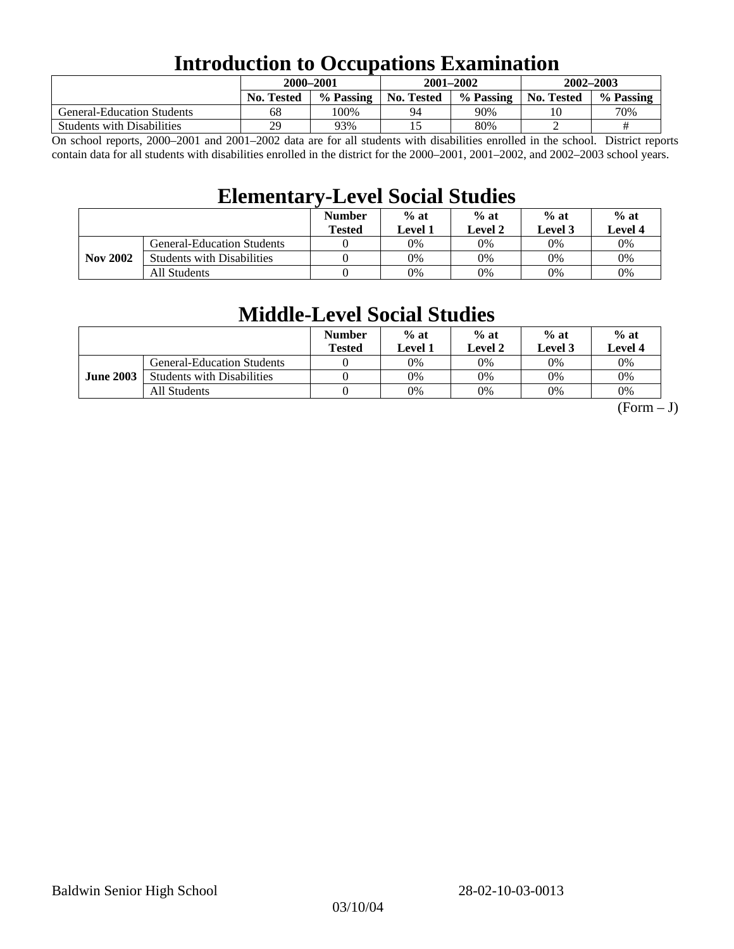### **Introduction to Occupations Examination**

|                                   | 2000-2001         |           | 2001-2002         |           | 2002-2003         |           |  |
|-----------------------------------|-------------------|-----------|-------------------|-----------|-------------------|-----------|--|
|                                   | <b>No. Tested</b> | % Passing | <b>No. Tested</b> | % Passing | <b>No. Tested</b> | % Passing |  |
| <b>General-Education Students</b> | 68                | 100%      | 94                | 90%       | 10                | 70%       |  |
| <b>Students with Disabilities</b> | 29                | 93%       |                   | 80%       |                   | #         |  |

On school reports, 2000–2001 and 2001–2002 data are for all students with disabilities enrolled in the school. District reports contain data for all students with disabilities enrolled in the district for the 2000–2001, 2001–2002, and 2002–2003 school years.

### **Elementary-Level Social Studies**

|                 |                                   | <b>Number</b><br><b>Tested</b> | $%$ at<br>Level 1 | $%$ at<br>$%$ at<br>Level 3<br>Level 2 |    | $%$ at<br>Level 4 |
|-----------------|-----------------------------------|--------------------------------|-------------------|----------------------------------------|----|-------------------|
| <b>Nov 2002</b> | <b>General-Education Students</b> |                                | 0%                | 0%                                     | 0% | 0%                |
|                 | <b>Students with Disabilities</b> |                                | 0%                | 0%                                     | 0% | $0\%$             |
|                 | All Students                      |                                | 0%                | 0%                                     | 0% | $0\%$             |

### **Middle-Level Social Studies**

|                  |                                   | <b>Number</b><br>Tested | $%$ at<br>evel 1. | $%$ at<br>Level 2 | $%$ at<br>Level 3 | $%$ at<br>Level 4 |
|------------------|-----------------------------------|-------------------------|-------------------|-------------------|-------------------|-------------------|
| <b>June 2003</b> | <b>General-Education Students</b> |                         | 0%                | 0%                | $0\%$             | 0%                |
|                  | <b>Students with Disabilities</b> |                         | 0%                | 0%                | 0%                | 0%                |
|                  | All Students                      |                         | 0%                | 0%                | 0%                | 0%                |

 $(Form - J)$